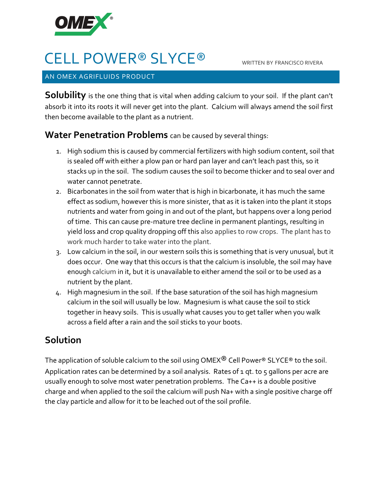

# CELL POWER® SLYCE® WRITTEN BY FRANCISCO RIVERA

#### AN OMEX AGRIFLUIDS PRODUCT

**Solubility** is the one thing that is vital when adding calcium to your soil. If the plant can't absorb it into its roots it will never get into the plant. Calcium will always amend the soil first then become available to the plant as a nutrient.

### **Water Penetration Problems** can be caused by several things:

- 1. High sodium this is caused by commercial fertilizers with high sodium content, soil that is sealed off with either a plow pan or hard pan layer and can't leach past this, so it stacks up in the soil. The sodium causes the soil to become thicker and to seal over and water cannot penetrate.
- 2. Bicarbonates in the soil from water that is high in bicarbonate, it has much the same effect as sodium, however this is more sinister, that as it is taken into the plant it stops nutrients and water from going in and out of the plant, but happens over a long period of time. This can cause pre-mature tree decline in permanent plantings, resulting in yield loss and crop quality dropping off this also applies to row crops. The plant has to work much harder to take water into the plant.
- 3. Low calcium in the soil, in our western soils this is something that is very unusual, but it does occur. One way that this occurs is that the calcium is insoluble, the soil may have enough calcium in it, but it is unavailable to either amend the soil or to be used as a nutrient by the plant.
- 4. High magnesium in the soil. If the base saturation of the soil has high magnesium calcium in the soil will usually be low. Magnesium is what cause the soil to stick together in heavy soils. This is usually what causes you to get taller when you walk across a field after a rain and the soil sticks to your boots.

## **Solution**

The application of soluble calcium to the soil using OMEX $^{\circledR}$  Cell Power $^{\circledR}$  SLYCE $^{\circledR}$  to the soil. Application rates can be determined by a soil analysis. Rates of 1 gt. to 5 gallons per acre are usually enough to solve most water penetration problems. The Ca++ is a double positive charge and when applied to the soil the calcium will push Na+ with a single positive charge off the clay particle and allow for it to be leached out of the soil profile.